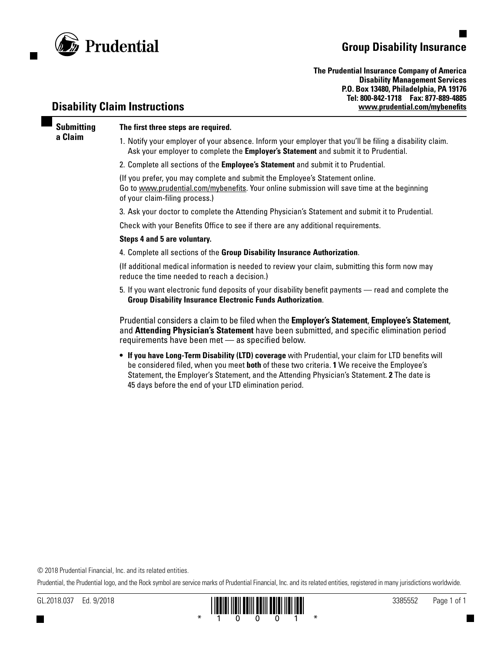

## **Group Disability Insurance**

**The Prudential Insurance Company of America Disability Management Services P.O. Box 13480, Philadelphia, PA 19176 Tel: 800-842-1718 Fax: 877-889-4885 [www.prudential.com/mybenefits](http://www.prudential.com/mybenefits)**

### **Disability Claim Instructions**

**Submitting** 

**a Claim**

### **The first three steps are required.**

1. Notify your employer of your absence. Inform your employer that you'll be filing a disability claim. Ask your employer to complete the **Employer's Statement** and submit it to Prudential.

2. Complete all sections of the **Employee's Statement** and submit it to Prudential.

(If you prefer, you may complete and submit the Employee's Statement online. Go to www.prudential.com/mybenefits. Your online submission will save time at the beginning of your claim-filing process.)

3. Ask your doctor to complete the Attending Physician's Statement and submit it to Prudential.

Check with your Benefits Office to see if there are any additional requirements.

#### **Steps 4 and 5 are voluntary.**

4. Complete all sections of the **Group Disability Insurance Authorization**.

(If additional medical information is needed to review your claim, submitting this form now may reduce the time needed to reach a decision.)

5. If you want electronic fund deposits of your disability benefit payments — read and complete the **Group Disability Insurance Electronic Funds Authorization**.

Prudential considers a claim to be filed when the **Employer's Statement**, **Employee's Statement**, and **Attending Physician's Statement** have been submitted, and specific elimination period requirements have been met — as specified below.

**• If you have Long-Term Disability (LTD) coverage** with Prudential, your claim for LTD benefits will be considered filed, when you meet **both** of these two criteria. **1** We receive the Employee's Statement, the Employer's Statement, and the Attending Physician's Statement. **2** The date is 45 days before the end of your LTD elimination period.

© 2018 Prudential Financial, Inc. and its related entities.

Prudential, the Prudential logo, and the Rock symbol are service marks of Prudential Financial, Inc. and its related entities, registered in many jurisdictions worldwide.

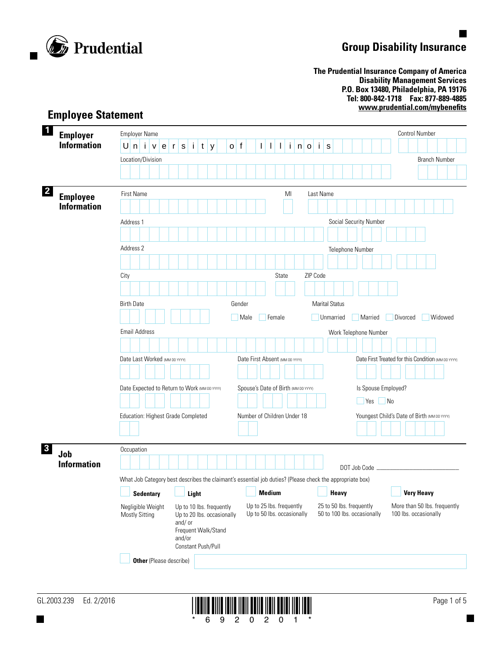

# **Group Disability Insurance**

**The Prudential Insurance Company of America Disability Management Services P.O. Box 13480, Philadelphia, PA 19176 Tel: 800-842-1718 Fax: 877-889-4885 www.prudential.com/mybenefits**

| $\mathbf 1$<br><b>Employer</b>                        | <b>Employer Name</b>                                                                                     |                                                                                                                         |                                                                                          |                                                         | <b>Control Number</b>                                 |  |  |  |  |
|-------------------------------------------------------|----------------------------------------------------------------------------------------------------------|-------------------------------------------------------------------------------------------------------------------------|------------------------------------------------------------------------------------------|---------------------------------------------------------|-------------------------------------------------------|--|--|--|--|
| <b>Information</b>                                    | Unive<br>$\mathbf r$                                                                                     | $\mathbf{i}$<br>$ t $ y<br>${\bf S}$<br>$\mathsf{o}$                                                                    | f<br>$\mathbf{I}$<br>$\mathbf{i}$<br>$\mathbf{I}$<br>$\overline{\phantom{a}}$<br>$n$   o | j.<br>s                                                 |                                                       |  |  |  |  |
|                                                       | Location/Division                                                                                        |                                                                                                                         |                                                                                          |                                                         | <b>Branch Number</b>                                  |  |  |  |  |
|                                                       |                                                                                                          |                                                                                                                         |                                                                                          |                                                         |                                                       |  |  |  |  |
| $\mathbf{2}$<br><b>Employee</b><br><b>Information</b> | <b>First Name</b>                                                                                        |                                                                                                                         | MI                                                                                       | Last Name                                               |                                                       |  |  |  |  |
|                                                       | Address 1                                                                                                |                                                                                                                         |                                                                                          | Social Security Number                                  |                                                       |  |  |  |  |
|                                                       |                                                                                                          |                                                                                                                         |                                                                                          |                                                         |                                                       |  |  |  |  |
|                                                       | Address 2                                                                                                |                                                                                                                         |                                                                                          | Telephone Number                                        |                                                       |  |  |  |  |
|                                                       |                                                                                                          |                                                                                                                         |                                                                                          |                                                         |                                                       |  |  |  |  |
|                                                       | City                                                                                                     |                                                                                                                         | State                                                                                    | ZIP Code                                                |                                                       |  |  |  |  |
|                                                       |                                                                                                          |                                                                                                                         |                                                                                          |                                                         |                                                       |  |  |  |  |
|                                                       | <b>Birth Date</b>                                                                                        |                                                                                                                         | Gender                                                                                   | <b>Marital Status</b>                                   |                                                       |  |  |  |  |
|                                                       |                                                                                                          |                                                                                                                         | Male<br>Female                                                                           | Unmarried<br>Married                                    | Widowed<br>Divorced                                   |  |  |  |  |
|                                                       | <b>Email Address</b>                                                                                     |                                                                                                                         |                                                                                          | Work Telephone Number                                   |                                                       |  |  |  |  |
|                                                       |                                                                                                          |                                                                                                                         |                                                                                          |                                                         |                                                       |  |  |  |  |
|                                                       | Date Last Worked (MM DD YYYY)                                                                            |                                                                                                                         | Date First Absent (MM DD YYYY)                                                           |                                                         | Date First Treated for this Condition (MM DD YYYY)    |  |  |  |  |
|                                                       | Date Expected to Return to Work (MM DD YYYY)                                                             |                                                                                                                         | Spouse's Date of Birth (MM DD YYYY)                                                      |                                                         | Is Spouse Employed?                                   |  |  |  |  |
|                                                       |                                                                                                          |                                                                                                                         |                                                                                          |                                                         | $Yes$ No                                              |  |  |  |  |
|                                                       | Education: Highest Grade Completed                                                                       |                                                                                                                         | Number of Children Under 18                                                              |                                                         | Youngest Child's Date of Birth (MM DD YYYY)           |  |  |  |  |
|                                                       |                                                                                                          |                                                                                                                         |                                                                                          |                                                         |                                                       |  |  |  |  |
| $\overline{\mathbf{3}}$<br>Job<br><b>Information</b>  | Occupation                                                                                               |                                                                                                                         |                                                                                          |                                                         |                                                       |  |  |  |  |
|                                                       | What Job Category best describes the claimant's essential job duties? (Please check the appropriate box) |                                                                                                                         |                                                                                          |                                                         |                                                       |  |  |  |  |
|                                                       | $\Box$ Sedentary                                                                                         | $\Box$ Light                                                                                                            | Medium                                                                                   | $\Box$ Heavy                                            | <b>Very Heavy</b>                                     |  |  |  |  |
|                                                       | Negligible Weight<br><b>Mostly Sitting</b>                                                               | Up to 10 lbs. frequently<br>Up to 20 lbs. occasionally<br>and/or<br>Frequent Walk/Stand<br>and/or<br>Constant Push/Pull | Up to 25 lbs. frequently<br>Up to 50 lbs. occasionally                                   | 25 to 50 lbs. frequently<br>50 to 100 lbs. occasionally | More than 50 lbs. frequently<br>100 lbs. occasionally |  |  |  |  |
|                                                       | <b>Other</b> (Please describe)                                                                           |                                                                                                                         |                                                                                          |                                                         |                                                       |  |  |  |  |

### **Employee Statement**

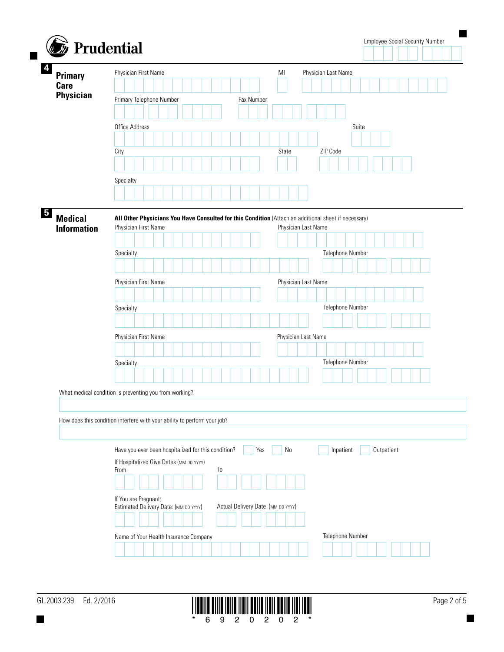| <b>Primary</b>                                                           |      |                      |  | Physician First Name                                                                           |  |  |  |                     |    |  |            |  | M <sub>l</sub>                                                                                       |    |  |  |  |          | Physician Last Name |       |            |  |  |  |
|--------------------------------------------------------------------------|------|----------------------|--|------------------------------------------------------------------------------------------------|--|--|--|---------------------|----|--|------------|--|------------------------------------------------------------------------------------------------------|----|--|--|--|----------|---------------------|-------|------------|--|--|--|
| <b>Care</b><br><b>Physician</b>                                          |      |                      |  |                                                                                                |  |  |  |                     |    |  |            |  |                                                                                                      |    |  |  |  |          |                     |       |            |  |  |  |
|                                                                          |      |                      |  | Primary Telephone Number                                                                       |  |  |  |                     |    |  | Fax Number |  |                                                                                                      |    |  |  |  |          |                     |       |            |  |  |  |
|                                                                          |      |                      |  |                                                                                                |  |  |  |                     |    |  |            |  |                                                                                                      |    |  |  |  |          |                     |       |            |  |  |  |
|                                                                          |      | Office Address       |  |                                                                                                |  |  |  |                     |    |  |            |  |                                                                                                      |    |  |  |  |          |                     | Suite |            |  |  |  |
|                                                                          |      |                      |  |                                                                                                |  |  |  |                     |    |  |            |  |                                                                                                      |    |  |  |  |          |                     |       |            |  |  |  |
|                                                                          | City |                      |  |                                                                                                |  |  |  |                     |    |  |            |  | State                                                                                                |    |  |  |  | ZIP Code |                     |       |            |  |  |  |
|                                                                          |      |                      |  |                                                                                                |  |  |  |                     |    |  |            |  |                                                                                                      |    |  |  |  |          |                     |       |            |  |  |  |
|                                                                          |      | Specialty            |  |                                                                                                |  |  |  |                     |    |  |            |  |                                                                                                      |    |  |  |  |          |                     |       |            |  |  |  |
|                                                                          |      |                      |  |                                                                                                |  |  |  |                     |    |  |            |  |                                                                                                      |    |  |  |  |          |                     |       |            |  |  |  |
|                                                                          |      |                      |  |                                                                                                |  |  |  |                     |    |  |            |  |                                                                                                      |    |  |  |  |          |                     |       |            |  |  |  |
| <b>Medical</b>                                                           |      |                      |  |                                                                                                |  |  |  |                     |    |  |            |  | All Other Physicians You Have Consulted for this Condition (Attach an additional sheet if necessary) |    |  |  |  |          |                     |       |            |  |  |  |
| <b>Information</b>                                                       |      |                      |  | Physician First Name                                                                           |  |  |  |                     |    |  |            |  | Physician Last Name                                                                                  |    |  |  |  |          |                     |       |            |  |  |  |
|                                                                          |      |                      |  |                                                                                                |  |  |  |                     |    |  |            |  |                                                                                                      |    |  |  |  |          |                     |       |            |  |  |  |
|                                                                          |      | Specialty            |  |                                                                                                |  |  |  |                     |    |  |            |  |                                                                                                      |    |  |  |  |          | Telephone Number    |       |            |  |  |  |
|                                                                          |      |                      |  |                                                                                                |  |  |  |                     |    |  |            |  |                                                                                                      |    |  |  |  |          |                     |       |            |  |  |  |
|                                                                          |      | Physician First Name |  |                                                                                                |  |  |  | Physician Last Name |    |  |            |  |                                                                                                      |    |  |  |  |          |                     |       |            |  |  |  |
|                                                                          |      |                      |  |                                                                                                |  |  |  |                     |    |  |            |  |                                                                                                      |    |  |  |  |          |                     |       |            |  |  |  |
|                                                                          |      | Specialty            |  |                                                                                                |  |  |  |                     |    |  |            |  |                                                                                                      |    |  |  |  |          | Telephone Number    |       |            |  |  |  |
|                                                                          |      |                      |  |                                                                                                |  |  |  |                     |    |  |            |  |                                                                                                      |    |  |  |  |          |                     |       |            |  |  |  |
|                                                                          |      |                      |  |                                                                                                |  |  |  |                     |    |  |            |  |                                                                                                      |    |  |  |  |          |                     |       |            |  |  |  |
|                                                                          |      |                      |  | Physician First Name                                                                           |  |  |  |                     |    |  |            |  | Physician Last Name                                                                                  |    |  |  |  |          |                     |       |            |  |  |  |
|                                                                          |      |                      |  |                                                                                                |  |  |  |                     |    |  |            |  |                                                                                                      |    |  |  |  |          |                     |       |            |  |  |  |
|                                                                          |      | Specialty            |  |                                                                                                |  |  |  |                     |    |  |            |  |                                                                                                      |    |  |  |  |          | Telephone Number    |       |            |  |  |  |
|                                                                          |      |                      |  |                                                                                                |  |  |  |                     |    |  |            |  |                                                                                                      |    |  |  |  |          |                     |       |            |  |  |  |
| What medical condition is preventing you from working?                   |      |                      |  |                                                                                                |  |  |  |                     |    |  |            |  |                                                                                                      |    |  |  |  |          |                     |       |            |  |  |  |
|                                                                          |      |                      |  |                                                                                                |  |  |  |                     |    |  |            |  |                                                                                                      |    |  |  |  |          |                     |       |            |  |  |  |
| How does this condition interfere with your ability to perform your job? |      |                      |  |                                                                                                |  |  |  |                     |    |  |            |  |                                                                                                      |    |  |  |  |          |                     |       |            |  |  |  |
|                                                                          |      |                      |  |                                                                                                |  |  |  |                     |    |  |            |  |                                                                                                      |    |  |  |  |          |                     |       |            |  |  |  |
|                                                                          |      |                      |  |                                                                                                |  |  |  |                     |    |  |            |  |                                                                                                      |    |  |  |  |          | Inpatient           |       | Outpatient |  |  |  |
|                                                                          |      |                      |  | Have you ever been hospitalized for this condition?<br>If Hospitalized Give Dates (MM DD YYYY) |  |  |  |                     |    |  | Yes        |  |                                                                                                      | No |  |  |  |          |                     |       |            |  |  |  |
|                                                                          | From |                      |  |                                                                                                |  |  |  |                     | To |  |            |  |                                                                                                      |    |  |  |  |          |                     |       |            |  |  |  |
|                                                                          |      |                      |  |                                                                                                |  |  |  |                     |    |  |            |  |                                                                                                      |    |  |  |  |          |                     |       |            |  |  |  |
|                                                                          |      |                      |  | If You are Pregnant:                                                                           |  |  |  |                     |    |  |            |  |                                                                                                      |    |  |  |  |          |                     |       |            |  |  |  |
|                                                                          |      |                      |  | Estimated Delivery Date: (MM DD YYYY)                                                          |  |  |  |                     |    |  |            |  | Actual Delivery Date (MM DD YYYY)                                                                    |    |  |  |  |          |                     |       |            |  |  |  |
|                                                                          |      |                      |  |                                                                                                |  |  |  |                     |    |  |            |  |                                                                                                      |    |  |  |  |          |                     |       |            |  |  |  |
|                                                                          |      |                      |  |                                                                                                |  |  |  |                     |    |  |            |  |                                                                                                      |    |  |  |  |          |                     |       |            |  |  |  |
|                                                                          |      |                      |  | Name of Your Health Insurance Company                                                          |  |  |  |                     |    |  |            |  |                                                                                                      |    |  |  |  |          | Telephone Number    |       |            |  |  |  |

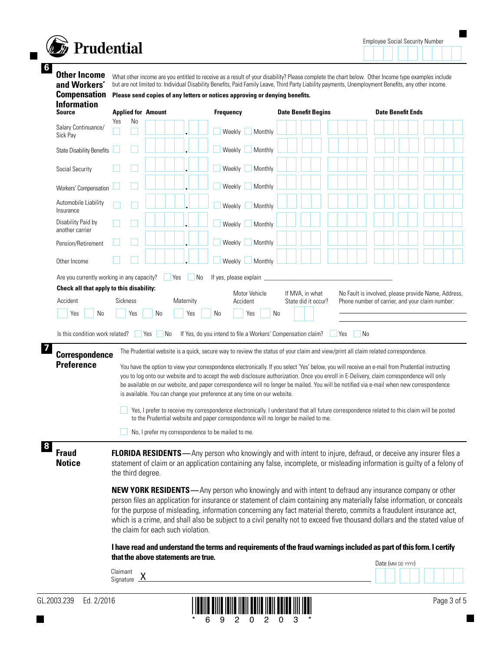

**6**

Employee Social Security Number

 $\blacksquare$ 

**Other Income and Workers'**  What other income are you entitled to receive as a result of your disability? Please complete the chart below. Other Income type examples include but are not limited to: Individual Disability Benefits, Paid Family Leave, Third Party Liability payments, Unemployment Benefits, any other income.

|  |  | <b>Compensation</b> Please send copies of any letters or notices approving or denying benefits. |
|--|--|-------------------------------------------------------------------------------------------------|
|--|--|-------------------------------------------------------------------------------------------------|

| <b>Information</b><br><b>Source</b>                                                                                                                                                              | <b>Applied for Amount</b>             |                                                                           | <b>Frequency</b>                                                                                                                                                                                                                                                                                   | <b>Date Benefit Begins</b>                                                                                                                                                               | <b>Date Benefit Ends</b>                                                                                                                                                                                                                                                                                                                                                                                                                                                                                                                                                                                                                                                                                         |
|--------------------------------------------------------------------------------------------------------------------------------------------------------------------------------------------------|---------------------------------------|---------------------------------------------------------------------------|----------------------------------------------------------------------------------------------------------------------------------------------------------------------------------------------------------------------------------------------------------------------------------------------------|------------------------------------------------------------------------------------------------------------------------------------------------------------------------------------------|------------------------------------------------------------------------------------------------------------------------------------------------------------------------------------------------------------------------------------------------------------------------------------------------------------------------------------------------------------------------------------------------------------------------------------------------------------------------------------------------------------------------------------------------------------------------------------------------------------------------------------------------------------------------------------------------------------------|
| Salary Continuance/<br>Sick Pay                                                                                                                                                                  | No<br>Yes                             |                                                                           | Weekly<br>Monthly                                                                                                                                                                                                                                                                                  |                                                                                                                                                                                          |                                                                                                                                                                                                                                                                                                                                                                                                                                                                                                                                                                                                                                                                                                                  |
| <b>State Disability Benefits</b>                                                                                                                                                                 |                                       |                                                                           | Weekly<br>Monthly                                                                                                                                                                                                                                                                                  |                                                                                                                                                                                          |                                                                                                                                                                                                                                                                                                                                                                                                                                                                                                                                                                                                                                                                                                                  |
| Social Security                                                                                                                                                                                  |                                       |                                                                           | Weekly<br>Monthly                                                                                                                                                                                                                                                                                  |                                                                                                                                                                                          |                                                                                                                                                                                                                                                                                                                                                                                                                                                                                                                                                                                                                                                                                                                  |
| Workers' Compensation                                                                                                                                                                            |                                       |                                                                           | Weekly<br>Monthly                                                                                                                                                                                                                                                                                  |                                                                                                                                                                                          |                                                                                                                                                                                                                                                                                                                                                                                                                                                                                                                                                                                                                                                                                                                  |
| Automobile Liability<br>Insurance                                                                                                                                                                |                                       |                                                                           | Weekly<br>Monthly                                                                                                                                                                                                                                                                                  |                                                                                                                                                                                          |                                                                                                                                                                                                                                                                                                                                                                                                                                                                                                                                                                                                                                                                                                                  |
| Disability Paid by<br>another carrier                                                                                                                                                            |                                       |                                                                           | Weekly<br>Monthly                                                                                                                                                                                                                                                                                  |                                                                                                                                                                                          |                                                                                                                                                                                                                                                                                                                                                                                                                                                                                                                                                                                                                                                                                                                  |
| Pension/Retirement                                                                                                                                                                               |                                       |                                                                           | Weekly<br>Monthly                                                                                                                                                                                                                                                                                  |                                                                                                                                                                                          |                                                                                                                                                                                                                                                                                                                                                                                                                                                                                                                                                                                                                                                                                                                  |
| Other Income                                                                                                                                                                                     |                                       |                                                                           | Weekly<br>Monthly                                                                                                                                                                                                                                                                                  |                                                                                                                                                                                          |                                                                                                                                                                                                                                                                                                                                                                                                                                                                                                                                                                                                                                                                                                                  |
| Are you currently working in any capacity?<br>Check all that apply to this disability:<br>Accident<br>No<br>Yes<br>Is this condition work related?<br><b>Correspondence</b><br><b>Preference</b> | <b>Sickness</b><br>Yes                | Yes<br>  No<br>Maternity<br>No<br>Yes<br><b>Yes</b><br>_  No              | If yes, please explain<br>Motor Vehicle<br>Accident<br>No<br>Yes<br>If Yes, do you intend to file a Workers' Compensation claim?<br>is available. You can change your preference at any time on our website.<br>to the Prudential website and paper correspondence will no longer be mailed to me. | If MVA, in what<br>State did it occur?<br>No<br>Yes<br>The Prudential website is a quick, secure way to review the status of your claim and view/print all claim related correspondence. | No Fault is involved, please provide Name, Address,<br>Phone number of carrier, and your claim number:<br>$\vert$ No<br>You have the option to view your correspondence electronically. If you select 'Yes' below, you will receive an e-mail from Prudential instructing<br>you to log onto our website and to accept the web disclosure authorization. Once you enroll in E-Delivery, claim correspondence will only<br>be available on our website, and paper correspondence will no longer be mailed. You will be notified via e-mail when new correspondence<br>Yes, I prefer to receive my correspondence electronically. I understand that all future correspondence related to this claim will be posted |
| <b>Fraud</b><br><b>Notice</b>                                                                                                                                                                    |                                       | No, I prefer my correspondence to be mailed to me.                        |                                                                                                                                                                                                                                                                                                    |                                                                                                                                                                                          | <b>FLORIDA RESIDENTS</b> —Any person who knowingly and with intent to injure, defraud, or deceive any insurer files a<br>statement of claim or an application containing any false, incomplete, or misleading information is guilty of a felony of                                                                                                                                                                                                                                                                                                                                                                                                                                                               |
|                                                                                                                                                                                                  | the third degree.                     | the claim for each such violation.<br>that the above statements are true. |                                                                                                                                                                                                                                                                                                    |                                                                                                                                                                                          | <b>NEW YORK RESIDENTS</b> —Any person who knowingly and with intent to defraud any insurance company or other<br>person files an application for insurance or statement of claim containing any materially false information, or conceals<br>for the purpose of misleading, information concerning any fact material thereto, commits a fraudulent insurance act,<br>which is a crime, and shall also be subject to a civil penalty not to exceed five thousand dollars and the stated value of<br>I have read and understand the terms and requirements of the fraud warnings included as part of this form. I certify<br>Date (MM DD YYYY)                                                                     |
|                                                                                                                                                                                                  | Claimant<br>Signature $\underline{X}$ |                                                                           |                                                                                                                                                                                                                                                                                                    |                                                                                                                                                                                          |                                                                                                                                                                                                                                                                                                                                                                                                                                                                                                                                                                                                                                                                                                                  |

 $\blacksquare$ 

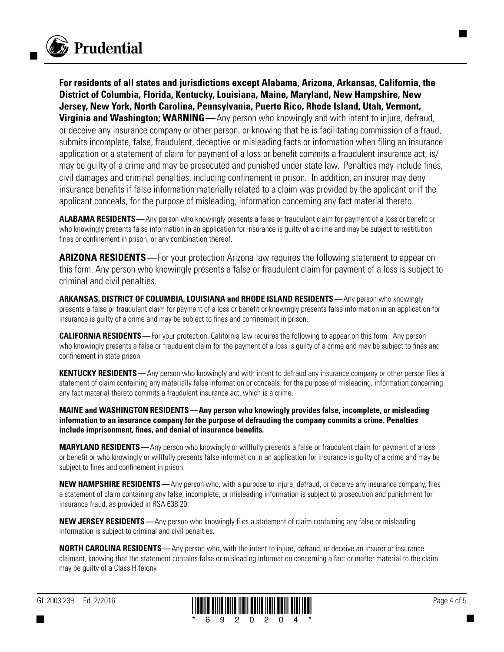

**For residents of all states and jurisdictions except Alabama, Arizona, Arkansas, California, the District of Columbia, Florida, Kentucky, Louisiana, Maine, Maryland, New Hampshire, New Jersey, New York, North Carolina, Pennsylvania, Puerto Rico, Rhode Island, Utah, Vermont, Virginia and Washington; WARNING**—Any person who knowingly and with intent to injure, defraud, or deceive any insurance company or other person, or knowing that he is facilitating commission of a fraud, submits incomplete, false, fraudulent, deceptive or misleading facts or information when filing an insurance application or a statement of claim for payment of a loss or benefit commits a fraudulent insurance act, is/ may be guilty of a crime and may be prosecuted and punished under state law. Penalties may include fines, civil damages and criminal penalties, including confinement in prison. In addition, an insurer may deny insurance benefits if false information materially related to a claim was provided by the applicant or if the applicant conceals, for the purpose of misleading, information concerning any fact material thereto.

**ALABAMA RESIDENTS—**Any person who knowingly presents a false or fraudulent claim for payment of a loss or benefit or who knowingly presents false information in an application for insurance is guilty of a crime and may be subject to restitution fines or confinement in prison, or any combination thereof.

**ARIZONA RESIDENTS—**For your protection Arizona law requires the following statement to appear on this form. Any person who knowingly presents a false or fraudulent claim for payment of a loss is subject to criminal and civil penalties.

**ARKANSAS, DISTRICT OF COLUMBIA, LOUISIANA and RHODE ISLAND RESIDENTS—**Any person who knowingly presents a false or fraudulent claim for payment of a loss or benefit or knowingly presents false information in an application for insurance is guilty of a crime and may be subject to fines and confinement in prison.

**CALIFORNIA RESIDENTS—**For your protection, California law requires the following to appear on this form. Any person who knowingly presents a false or fraudulent claim for the payment of a loss is guilty of a crime and may be subject to fines and confinement in state prison.

**KENTUCKY RESIDENTS**—Any person who knowingly and with intent to defraud any insurance company or other person files a statement of claim containing any materially false information or conceals, for the purpose of misleading, information concerning any fact material thereto commits a fraudulent insurance act, which is a crime.

**MAINE and WASHINGTON RESIDENTS—Any person who knowingly provides false, incomplete, or misleading information to an insurance company for the purpose of defrauding the company commits a crime. Penalties include imprisonment, fines, and denial of insurance benefits.** 

**MARYLAND RESIDENTS—**Any person who knowingly or willfully presents a false or fraudulent claim for payment of a loss or benefit or who knowingly or willfully presents false information in an application for insurance is guilty of a crime and may be subject to fines and confinement in prison.

**NEW HAMPSHIRE RESIDENTS—**Any person who, with a purpose to injure, defraud, or deceive any insurance company, files a statement of claim containing any false, incomplete, or misleading information is subject to prosecution and punishment for insurance fraud, as provided in RSA 638:20.

**NEW JERSEY RESIDENTS**—Any person who knowingly files a statement of claim containing any false or misleading information is subject to criminal and civil penalties.

**NORTH CAROLINA RESIDENTS—**Any person who, with the intent to injure, defraud, or deceive an insurer or insurance claimant, knowing that the statement contains false or misleading information concerning a fact or matter material to the claim may be guilty of a Class H felony.

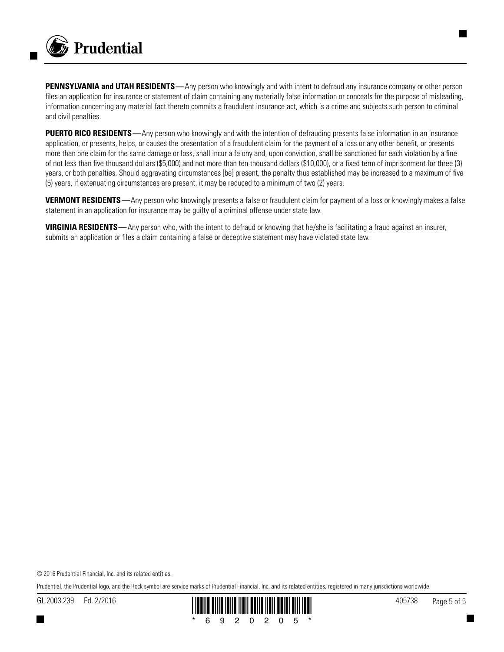

**PENNSYLVANIA and UTAH RESIDENTS**—Any person who knowingly and with intent to defraud any insurance company or other person files an application for insurance or statement of claim containing any materially false information or conceals for the purpose of misleading, information concerning any material fact thereto commits a fraudulent insurance act, which is a crime and subjects such person to criminal and civil penalties.

**PUERTO RICO RESIDENTS**—Any person who knowingly and with the intention of defrauding presents false information in an insurance application, or presents, helps, or causes the presentation of a fraudulent claim for the payment of a loss or any other benefit, or presents more than one claim for the same damage or loss, shall incur a felony and, upon conviction, shall be sanctioned for each violation by a fine of not less than five thousand dollars (\$5,000) and not more than ten thousand dollars (\$10,000), or a fixed term of imprisonment for three (3) years, or both penalties. Should aggravating circumstances [be] present, the penalty thus established may be increased to a maximum of five (5) years, if extenuating circumstances are present, it may be reduced to a minimum of two (2) years.

**VERMONT RESIDENTS**—Any person who knowingly presents a false or fraudulent claim for payment of a loss or knowingly makes a false statement in an application for insurance may be guilty of a criminal offense under state law.

**VIRGINIA RESIDENTS—**Any person who, with the intent to defraud or knowing that he/she is facilitating a fraud against an insurer, submits an application or files a claim containing a false or deceptive statement may have violated state law.

© 2016 Prudential Financial, Inc. and its related entities.

Prudential, the Prudential logo, and the Rock symbol are service marks of Prudential Financial, Inc. and its related entities, registered in many jurisdictions worldwide.

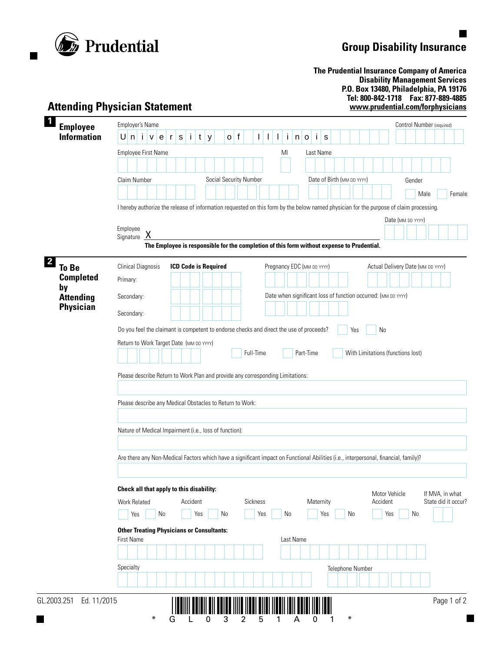

 $\blacksquare$ 

H

## **Group Disability Insurance**

 $\blacksquare$ 

 $\blacksquare$ 

**The Prudential Insurance Company of America Disability Management Services P.O. Box 13480, Philadelphia, PA 19176 Tel: 800-842-1718 Fax: 877-889-4885 www.prudential.com/forphysicians**

| <b>Employee</b>                      | <b>Employer's Name</b><br>Control Number (required)                                                                                                |                                        |  |  |  |  |  |  |  |  |  |  |
|--------------------------------------|----------------------------------------------------------------------------------------------------------------------------------------------------|----------------------------------------|--|--|--|--|--|--|--|--|--|--|
| <b>Information</b>                   | f<br>U<br>j.<br>Ť<br>$\mathbf{i}$<br>n<br>Ť.<br>t<br>$\mathbf{I}$<br>n<br>S<br>e<br>${\tt S}$<br>y<br>$\mathsf{o}$<br>$\mathsf{o}$<br>۷<br>r<br>I. |                                        |  |  |  |  |  |  |  |  |  |  |
|                                      | Employee First Name<br>Last Name<br>MI                                                                                                             |                                        |  |  |  |  |  |  |  |  |  |  |
|                                      |                                                                                                                                                    |                                        |  |  |  |  |  |  |  |  |  |  |
|                                      | Social Security Number<br>Claim Number<br>Date of Birth (MM DD YYYY)<br>Gender                                                                     |                                        |  |  |  |  |  |  |  |  |  |  |
|                                      | Male                                                                                                                                               | Female                                 |  |  |  |  |  |  |  |  |  |  |
|                                      | I hereby authorize the release of information requested on this form by the below named physician for the purpose of claim processing.             |                                        |  |  |  |  |  |  |  |  |  |  |
|                                      |                                                                                                                                                    | Date (MM DD YYYY)                      |  |  |  |  |  |  |  |  |  |  |
|                                      | Employee                                                                                                                                           |                                        |  |  |  |  |  |  |  |  |  |  |
|                                      | <u>X</u><br>Signature                                                                                                                              |                                        |  |  |  |  |  |  |  |  |  |  |
|                                      | The Employee is responsible for the completion of this form without expense to Prudential.                                                         |                                        |  |  |  |  |  |  |  |  |  |  |
| <b>To Be</b>                         | <b>ICD Code is Required</b><br>Pregnancy EDC (MM DD YYYY)<br><b>Clinical Diagnosis</b><br>Actual Delivery Date (MM DD YYYY)                        |                                        |  |  |  |  |  |  |  |  |  |  |
| <b>Completed</b>                     | Primary:                                                                                                                                           |                                        |  |  |  |  |  |  |  |  |  |  |
| by                                   | Date when significant loss of function occurred: (MM DD YYYY)                                                                                      |                                        |  |  |  |  |  |  |  |  |  |  |
| <b>Attending</b><br><b>Physician</b> | Secondary:                                                                                                                                         |                                        |  |  |  |  |  |  |  |  |  |  |
|                                      | Secondary:                                                                                                                                         |                                        |  |  |  |  |  |  |  |  |  |  |
|                                      | Do you feel the claimant is competent to endorse checks and direct the use of proceeds?<br>N <sub>0</sub><br>Yes                                   |                                        |  |  |  |  |  |  |  |  |  |  |
|                                      | Return to Work Target Date (MM DD YYYY)                                                                                                            |                                        |  |  |  |  |  |  |  |  |  |  |
|                                      |                                                                                                                                                    |                                        |  |  |  |  |  |  |  |  |  |  |
|                                      | Full-Time<br>Part-Time<br>With Limitations (functions lost)                                                                                        |                                        |  |  |  |  |  |  |  |  |  |  |
|                                      |                                                                                                                                                    |                                        |  |  |  |  |  |  |  |  |  |  |
|                                      | Please describe Return to Work Plan and provide any corresponding Limitations:                                                                     |                                        |  |  |  |  |  |  |  |  |  |  |
|                                      |                                                                                                                                                    |                                        |  |  |  |  |  |  |  |  |  |  |
|                                      |                                                                                                                                                    |                                        |  |  |  |  |  |  |  |  |  |  |
|                                      | Please describe any Medical Obstacles to Return to Work:                                                                                           |                                        |  |  |  |  |  |  |  |  |  |  |
|                                      |                                                                                                                                                    |                                        |  |  |  |  |  |  |  |  |  |  |
|                                      | Nature of Medical Impairment (i.e., loss of function):                                                                                             |                                        |  |  |  |  |  |  |  |  |  |  |
|                                      |                                                                                                                                                    |                                        |  |  |  |  |  |  |  |  |  |  |
|                                      | Are there any Non-Medical Factors which have a significant impact on Functional Abilities (i.e., interpersonal, financial, family)?                |                                        |  |  |  |  |  |  |  |  |  |  |
|                                      |                                                                                                                                                    |                                        |  |  |  |  |  |  |  |  |  |  |
|                                      |                                                                                                                                                    |                                        |  |  |  |  |  |  |  |  |  |  |
|                                      | Check all that apply to this disability:<br>Motor Vehicle                                                                                          |                                        |  |  |  |  |  |  |  |  |  |  |
|                                      | Accident<br>Sickness<br>Maternity<br>Accident<br><b>Work Related</b>                                                                               |                                        |  |  |  |  |  |  |  |  |  |  |
|                                      | No<br>Yes<br>Yes<br>Yes<br>No<br>Yes<br>No<br>Yes<br>No<br>No                                                                                      |                                        |  |  |  |  |  |  |  |  |  |  |
|                                      | <b>Other Treating Physicians or Consultants:</b>                                                                                                   |                                        |  |  |  |  |  |  |  |  |  |  |
|                                      | Last Name<br><b>First Name</b>                                                                                                                     |                                        |  |  |  |  |  |  |  |  |  |  |
|                                      |                                                                                                                                                    |                                        |  |  |  |  |  |  |  |  |  |  |
|                                      | Specialty<br>Telephone Number                                                                                                                      |                                        |  |  |  |  |  |  |  |  |  |  |
|                                      |                                                                                                                                                    | If MVA, in what<br>State did it occur? |  |  |  |  |  |  |  |  |  |  |

\*GL03251A01\*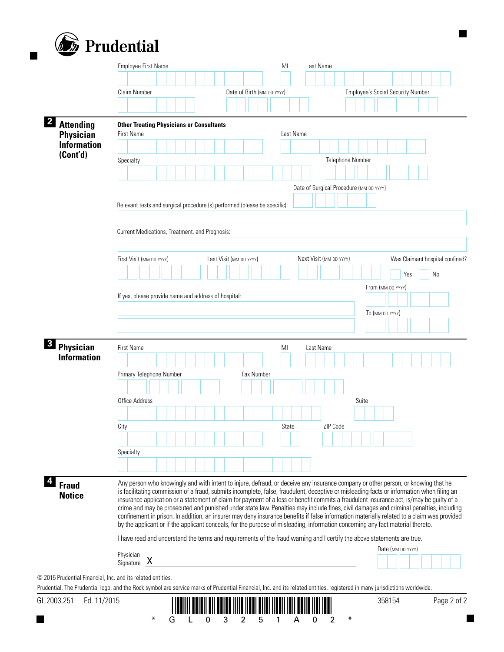

|                                | Claim Number                                                              | Date of Birth (MM DD YYYY) | <b>Employee's Social Security Number</b>                                                                                                                                                                                                                                             |  |  |  |  |  |  |  |
|--------------------------------|---------------------------------------------------------------------------|----------------------------|--------------------------------------------------------------------------------------------------------------------------------------------------------------------------------------------------------------------------------------------------------------------------------------|--|--|--|--|--|--|--|
|                                |                                                                           |                            |                                                                                                                                                                                                                                                                                      |  |  |  |  |  |  |  |
| <b>Attending</b>               | <b>Other Treating Physicians or Consultants</b>                           |                            |                                                                                                                                                                                                                                                                                      |  |  |  |  |  |  |  |
| <b>Physician</b>               | <b>First Name</b>                                                         | Last Name                  |                                                                                                                                                                                                                                                                                      |  |  |  |  |  |  |  |
| <b>Information</b><br>(Cont'd) |                                                                           |                            |                                                                                                                                                                                                                                                                                      |  |  |  |  |  |  |  |
|                                | Specialty                                                                 |                            | Telephone Number                                                                                                                                                                                                                                                                     |  |  |  |  |  |  |  |
|                                |                                                                           |                            |                                                                                                                                                                                                                                                                                      |  |  |  |  |  |  |  |
|                                |                                                                           |                            | Date of Surgical Procedure (MM DD YYYY)                                                                                                                                                                                                                                              |  |  |  |  |  |  |  |
|                                |                                                                           |                            |                                                                                                                                                                                                                                                                                      |  |  |  |  |  |  |  |
|                                | Relevant tests and surgical procedure (s) performed (please be specific): |                            |                                                                                                                                                                                                                                                                                      |  |  |  |  |  |  |  |
|                                | Current Medications, Treatment, and Prognosis:                            |                            |                                                                                                                                                                                                                                                                                      |  |  |  |  |  |  |  |
|                                |                                                                           |                            |                                                                                                                                                                                                                                                                                      |  |  |  |  |  |  |  |
|                                | First Visit (MM DD YYYY)                                                  | Last Visit (MM DD YYYY)    | Next Visit (MM DD YYYY)<br>Was Claimant hospital confined?                                                                                                                                                                                                                           |  |  |  |  |  |  |  |
|                                |                                                                           |                            | Yes<br>No                                                                                                                                                                                                                                                                            |  |  |  |  |  |  |  |
|                                |                                                                           |                            | From (MM DD YYYY)                                                                                                                                                                                                                                                                    |  |  |  |  |  |  |  |
|                                | If yes, please provide name and address of hospital:                      |                            |                                                                                                                                                                                                                                                                                      |  |  |  |  |  |  |  |
|                                |                                                                           |                            | To (MM DD YYYY)                                                                                                                                                                                                                                                                      |  |  |  |  |  |  |  |
|                                |                                                                           |                            |                                                                                                                                                                                                                                                                                      |  |  |  |  |  |  |  |
| Physician                      | <b>First Name</b>                                                         | MI                         |                                                                                                                                                                                                                                                                                      |  |  |  |  |  |  |  |
| <b>Information</b>             |                                                                           |                            | Last Name                                                                                                                                                                                                                                                                            |  |  |  |  |  |  |  |
|                                | Primary Telephone Number                                                  | Fax Number                 |                                                                                                                                                                                                                                                                                      |  |  |  |  |  |  |  |
|                                |                                                                           |                            |                                                                                                                                                                                                                                                                                      |  |  |  |  |  |  |  |
|                                | Office Address                                                            |                            | Suite                                                                                                                                                                                                                                                                                |  |  |  |  |  |  |  |
|                                |                                                                           |                            |                                                                                                                                                                                                                                                                                      |  |  |  |  |  |  |  |
|                                | City                                                                      | State                      | ZIP Code                                                                                                                                                                                                                                                                             |  |  |  |  |  |  |  |
|                                |                                                                           |                            |                                                                                                                                                                                                                                                                                      |  |  |  |  |  |  |  |
|                                | Specialty                                                                 |                            |                                                                                                                                                                                                                                                                                      |  |  |  |  |  |  |  |
|                                |                                                                           |                            |                                                                                                                                                                                                                                                                                      |  |  |  |  |  |  |  |
|                                |                                                                           |                            |                                                                                                                                                                                                                                                                                      |  |  |  |  |  |  |  |
| <b>Fraud</b>                   |                                                                           |                            | Any person who knowingly and with intent to injure, defraud, or deceive any insurance company or other person, or knowing that he<br>is facilitating commission of a fraud, submits incomplete, false, fraudulent, deceptive or misleading facts or information when filing an       |  |  |  |  |  |  |  |
| <b>Notice</b>                  |                                                                           |                            | insurance application or a statement of claim for payment of a loss or benefit commits a fraudulent insurance act, is/may be guilty of a                                                                                                                                             |  |  |  |  |  |  |  |
|                                |                                                                           |                            | crime and may be prosecuted and punished under state law. Penalties may include fines, civil damages and criminal penalties, including<br>confinement in prison. In addition, an insurer may deny insurance benefits if false information materially related to a claim was provided |  |  |  |  |  |  |  |
|                                |                                                                           |                            | by the applicant or if the applicant conceals, for the purpose of misleading, information concerning any fact material thereto.                                                                                                                                                      |  |  |  |  |  |  |  |
|                                |                                                                           |                            | I have read and understand the terms and requirements of the fraud warning and I certify the above statements are true.                                                                                                                                                              |  |  |  |  |  |  |  |
|                                | Physician                                                                 |                            | Date (MM DD YYYY)                                                                                                                                                                                                                                                                    |  |  |  |  |  |  |  |
|                                | $\begin{array}{cc}\n\text{Signature} & X\n\end{array}$                    |                            |                                                                                                                                                                                                                                                                                      |  |  |  |  |  |  |  |
|                                | © 2015 Prudential Financial, Inc. and its related entities.               |                            |                                                                                                                                                                                                                                                                                      |  |  |  |  |  |  |  |
|                                |                                                                           |                            | Prudential, The Prudential logo, and the Rock symbol are service marks of Prudential Financial, Inc. and its related entities, registered in many jurisdictions worldwide.                                                                                                           |  |  |  |  |  |  |  |
| GL.2003.251<br>Ed. 11/2015     |                                                                           |                            | Page 2 of 2<br>358154                                                                                                                                                                                                                                                                |  |  |  |  |  |  |  |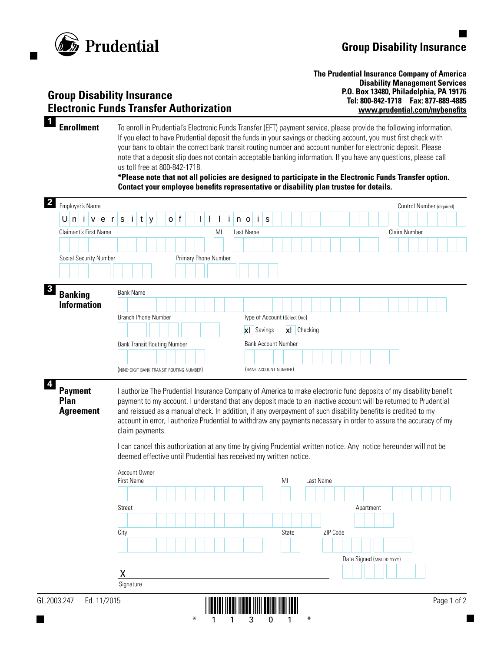

### **Group Disability Insurance Electronic Funds Transfer Authorization**

**The Prudential Insurance Company of America Disability Management Services P.O. Box 13480, Philadelphia, PA 19176 Tel: 800-842-1718 Fax: 877-889-4885 www.prudential.com/mybenefits**

**1 Enrollment** To enroll in Prudential's Electronic Funds Transfer (EFT) payment service, please provide the following information. If you elect to have Prudential deposit the funds in your savings or checking account, you must first check with your bank to obtain the correct bank transit routing number and account number for electronic deposit. Please note that a deposit slip does not contain acceptable banking information. If you have any questions, please call us toll free at 800-842-1718.

> **\*Please note that not all policies are designed to participate in the Electronic Funds Transfer option. Contact your employee benefits representative or disability plan trustee for details.**



\*11301\*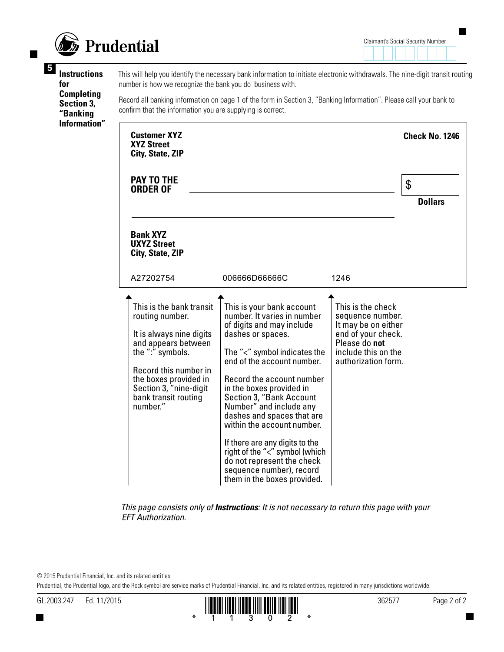

**<sup>5</sup> Instructions for Completing Section 3, "Banking Information"**

This will help you identify the necessary bank information to initiate electronic withdrawals. The nine-digit transit routing number is how we recognize the bank you do business with.

Record all banking information on page 1 of the form in Section 3, "Banking Information". Please call your bank to confirm that the information you are supplying is correct.

| <b>Customer XYZ</b><br><b>XYZ Street</b><br>City, State, ZIP                                                                                                                                                                       |                                                                                                                                                                                                                                                                                                                                                                                                                                                                                                                   |                                                                                                                                                   | <b>Check No. 1246</b> |
|------------------------------------------------------------------------------------------------------------------------------------------------------------------------------------------------------------------------------------|-------------------------------------------------------------------------------------------------------------------------------------------------------------------------------------------------------------------------------------------------------------------------------------------------------------------------------------------------------------------------------------------------------------------------------------------------------------------------------------------------------------------|---------------------------------------------------------------------------------------------------------------------------------------------------|-----------------------|
| PAY TO THE<br><b>ORDER OF</b>                                                                                                                                                                                                      |                                                                                                                                                                                                                                                                                                                                                                                                                                                                                                                   |                                                                                                                                                   | \$<br><b>Dollars</b>  |
| <b>Bank XYZ</b><br><b>UXYZ Street</b><br>City, State, ZIP                                                                                                                                                                          |                                                                                                                                                                                                                                                                                                                                                                                                                                                                                                                   |                                                                                                                                                   |                       |
| A27202754                                                                                                                                                                                                                          | 006666D66666C                                                                                                                                                                                                                                                                                                                                                                                                                                                                                                     | 1246                                                                                                                                              |                       |
| This is the bank transit<br>routing number.<br>It is always nine digits<br>and appears between<br>the ":" symbols.<br>Record this number in<br>the boxes provided in<br>Section 3, "nine-digit<br>bank transit routing<br>number." | This is your bank account<br>number. It varies in number<br>of digits and may include<br>dashes or spaces.<br>The "<" symbol indicates the<br>end of the account number.<br>Record the account number<br>in the boxes provided in<br>Section 3, "Bank Account<br>Number" and include any<br>dashes and spaces that are<br>within the account number.<br>If there are any digits to the<br>right of the "<" symbol (which<br>do not represent the check<br>sequence number), record<br>them in the boxes provided. | This is the check<br>sequence number.<br>It may be on either<br>end of your check.<br>Please do not<br>include this on the<br>authorization form. |                       |

*This page consists only of Instructions: It is not necessary to return this page with your EFT Authorization.*

© 2015 Prudential Financial, Inc. and its related entities.

Prudential, the Prudential logo, and the Rock symbol are service marks of Prudential Financial, Inc. and its related entities, registered in many jurisdictions worldwide.